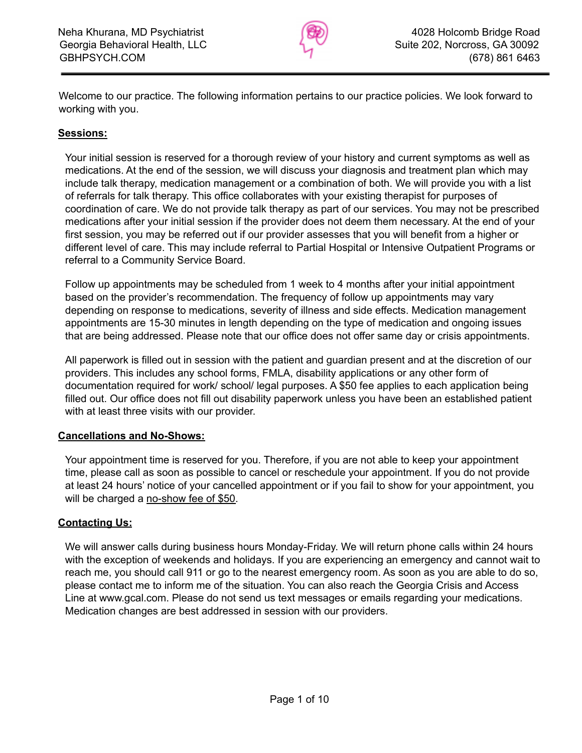

Welcome to our practice. The following information pertains to our practice policies. We look forward to working with you.

## **Sessions:**

Your initial session is reserved for a thorough review of your history and current symptoms as well as medications. At the end of the session, we will discuss your diagnosis and treatment plan which may include talk therapy, medication management or a combination of both. We will provide you with a list of referrals for talk therapy. This office collaborates with your existing therapist for purposes of coordination of care. We do not provide talk therapy as part of our services. You may not be prescribed medications after your initial session if the provider does not deem them necessary. At the end of your first session, you may be referred out if our provider assesses that you will benefit from a higher or different level of care. This may include referral to Partial Hospital or Intensive Outpatient Programs or referral to a Community Service Board.

Follow up appointments may be scheduled from 1 week to 4 months after your initial appointment based on the provider's recommendation. The frequency of follow up appointments may vary depending on response to medications, severity of illness and side effects. Medication management appointments are 15-30 minutes in length depending on the type of medication and ongoing issues that are being addressed. Please note that our office does not offer same day or crisis appointments.

All paperwork is filled out in session with the patient and guardian present and at the discretion of our providers. This includes any school forms, FMLA, disability applications or any other form of documentation required for work/ school/ legal purposes. A \$50 fee applies to each application being filled out. Our office does not fill out disability paperwork unless you have been an established patient with at least three visits with our provider.

### **Cancellations and No-Shows:**

Your appointment time is reserved for you. Therefore, if you are not able to keep your appointment time, please call as soon as possible to cancel or reschedule your appointment. If you do not provide at least 24 hours' notice of your cancelled appointment or if you fail to show for your appointment, you will be charged a no-show fee of \$50.

### **Contacting Us:**

We will answer calls during business hours Monday-Friday. We will return phone calls within 24 hours with the exception of weekends and holidays. If you are experiencing an emergency and cannot wait to reach me, you should call 911 or go to the nearest emergency room. As soon as you are able to do so, please contact me to inform me of the situation. You can also reach the Georgia Crisis and Access Line at www.gcal.com. Please do not send us text messages or emails regarding your medications. Medication changes are best addressed in session with our providers.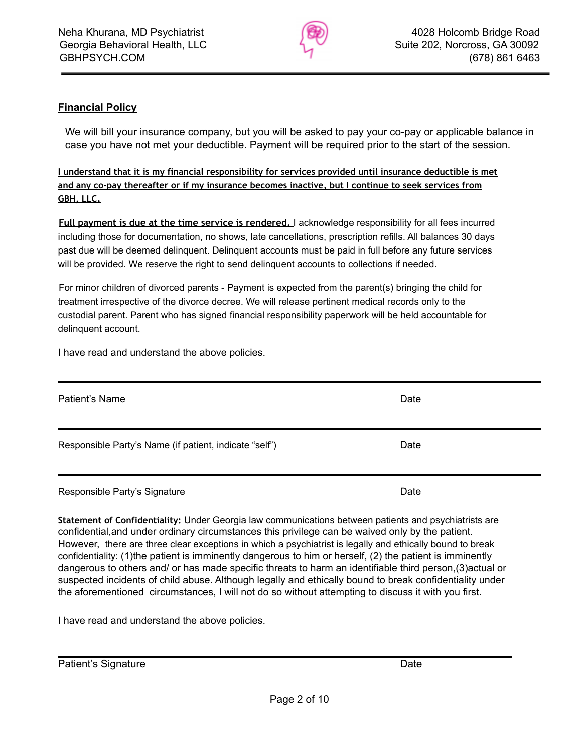

# **Financial Policy**

We will bill your insurance company, but you will be asked to pay your co-pay or applicable balance in case you have not met your deductible. Payment will be required prior to the start of the session.

**I understand that it is my financial responsibility for services provided until insurance deductible is met and any co-pay thereafter or if my insurance becomes inactive, but I continue to seek services from GBH, LLC.**

**Full payment is due at the time service is rendered.** I acknowledge responsibility for all fees incurred including those for documentation, no shows, late cancellations, prescription refills. All balances 30 days past due will be deemed delinquent. Delinquent accounts must be paid in full before any future services will be provided. We reserve the right to send delinquent accounts to collections if needed.

For minor children of divorced parents - Payment is expected from the parent(s) bringing the child for treatment irrespective of the divorce decree. We will release pertinent medical records only to the custodial parent. Parent who has signed financial responsibility paperwork will be held accountable for delinquent account.

I have read and understand the above policies.

| Patient's Name                                         | Date |
|--------------------------------------------------------|------|
| Responsible Party's Name (if patient, indicate "self") | Date |
| Responsible Party's Signature                          | Date |

**Statement of Confidentiality:** Under Georgia law communications between patients and psychiatrists are confidential,and under ordinary circumstances this privilege can be waived only by the patient. However, there are three clear exceptions in which a psychiatrist is legally and ethically bound to break confidentiality: (1)the patient is imminently dangerous to him or herself, (2) the patient is imminently dangerous to others and/ or has made specific threats to harm an identifiable third person,(3)actual or suspected incidents of child abuse. Although legally and ethically bound to break confidentiality under the aforementioned circumstances, I will not do so without attempting to discuss it with you first.

I have read and understand the above policies.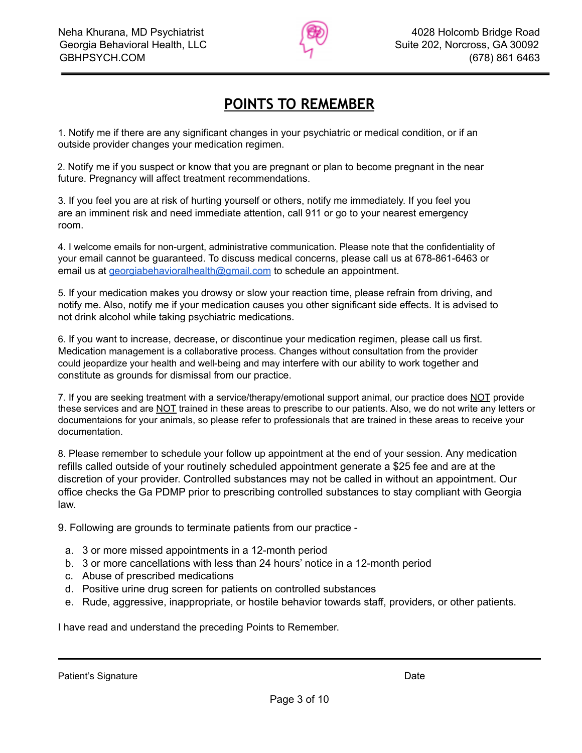

# **POINTS TO REMEMBER**

1. Notify me if there are any significant changes in your psychiatric or medical condition, or if an outside provider changes your medication regimen.

2. Notify me if you suspect or know that you are pregnant or plan to become pregnant in the near future. Pregnancy will affect treatment recommendations.

3. If you feel you are at risk of hurting yourself or others, notify me immediately. If you feel you are an imminent risk and need immediate attention, call 911 or go to your nearest emergency room.

4. I welcome emails for non-urgent, administrative communication. Please note that the confidentiality of your email cannot be guaranteed. To discuss medical concerns, please call us at 678-861-6463 or email us at [georgiabehavioralhealth@gmail.com](mailto:georgiabehavioralhealth@gmail.com) to schedule an appointment.

5. If your medication makes you drowsy or slow your reaction time, please refrain from driving, and notify me. Also, notify me if your medication causes you other significant side effects. It is advised to not drink alcohol while taking psychiatric medications.

6. If you want to increase, decrease, or discontinue your medication regimen, please call us first. Medication management is a collaborative process. Changes without consultation from the provider could jeopardize your health and well-being and may interfere with our ability to work together and constitute as grounds for dismissal from our practice.

7. If you are seeking treatment with a service/therapy/emotional support animal, our practice does NOT provide these services and are NOT trained in these areas to prescribe to our patients. Also, we do not write any letters or documentaions for your animals, so please refer to professionals that are trained in these areas to receive your documentation.

8. Please remember to schedule your follow up appointment at the end of your session. Any medication refills called outside of your routinely scheduled appointment generate a \$25 fee and are at the discretion of your provider. Controlled substances may not be called in without an appointment. Our office checks the Ga PDMP prior to prescribing controlled substances to stay compliant with Georgia law.

9. Following are grounds to terminate patients from our practice -

- a. 3 or more missed appointments in a 12-month period
- b. 3 or more cancellations with less than 24 hours' notice in a 12-month period
- c. Abuse of prescribed medications
- d. Positive urine drug screen for patients on controlled substances
- e. Rude, aggressive, inappropriate, or hostile behavior towards staff, providers, or other patients.

I have read and understand the preceding Points to Remember.

Patient's Signature Date Date of the Date of the Date Date Date Date Date Date Date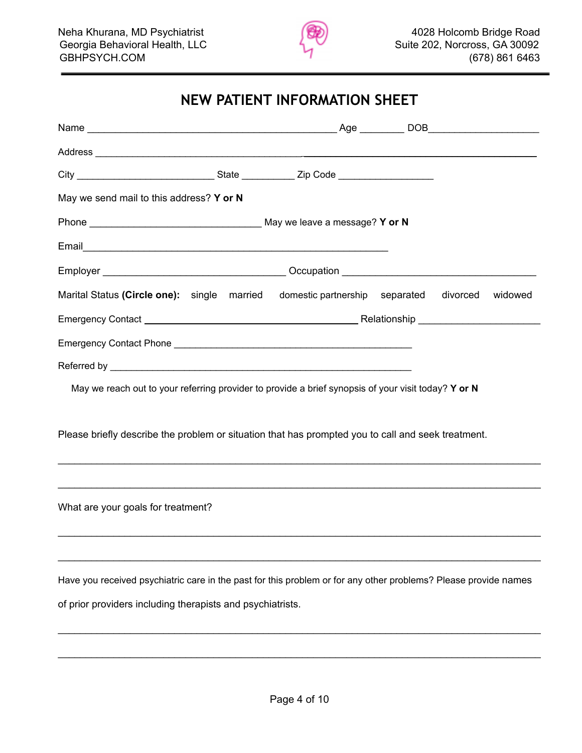

# **NEW PATIENT INFORMATION SHEET**

| May we send mail to this address? Y or N                                                                                                                                                                                       |  |  |  |
|--------------------------------------------------------------------------------------------------------------------------------------------------------------------------------------------------------------------------------|--|--|--|
|                                                                                                                                                                                                                                |  |  |  |
|                                                                                                                                                                                                                                |  |  |  |
|                                                                                                                                                                                                                                |  |  |  |
| Marital Status (Circle one): single married domestic partnership separated divorced widowed                                                                                                                                    |  |  |  |
|                                                                                                                                                                                                                                |  |  |  |
| Emergency Contact Phone experience and the contract of the contract of the contract of the contract of the contract of the contract of the contract of the contract of the contract of the contract of the contract of the con |  |  |  |
|                                                                                                                                                                                                                                |  |  |  |
| May we reach out to your referring provider to provide a brief synopsis of your visit today? Y or N                                                                                                                            |  |  |  |
| Please briefly describe the problem or situation that has prompted you to call and seek treatment.                                                                                                                             |  |  |  |
|                                                                                                                                                                                                                                |  |  |  |
|                                                                                                                                                                                                                                |  |  |  |
| What are your goals for treatment?                                                                                                                                                                                             |  |  |  |
|                                                                                                                                                                                                                                |  |  |  |
| Have you received psychiatric care in the past for this problem or for any other problems? Please provide names                                                                                                                |  |  |  |
| of prior providers including therapists and psychiatrists.                                                                                                                                                                     |  |  |  |
|                                                                                                                                                                                                                                |  |  |  |

\_\_\_\_\_\_\_\_\_\_\_\_\_\_\_\_\_\_\_\_\_\_\_\_\_\_\_\_\_\_\_\_\_\_\_\_\_\_\_\_\_\_\_\_\_\_\_\_\_\_\_\_\_\_\_\_\_\_\_\_\_\_\_\_\_\_\_\_\_\_\_\_\_\_\_\_\_\_\_\_\_\_\_\_\_\_\_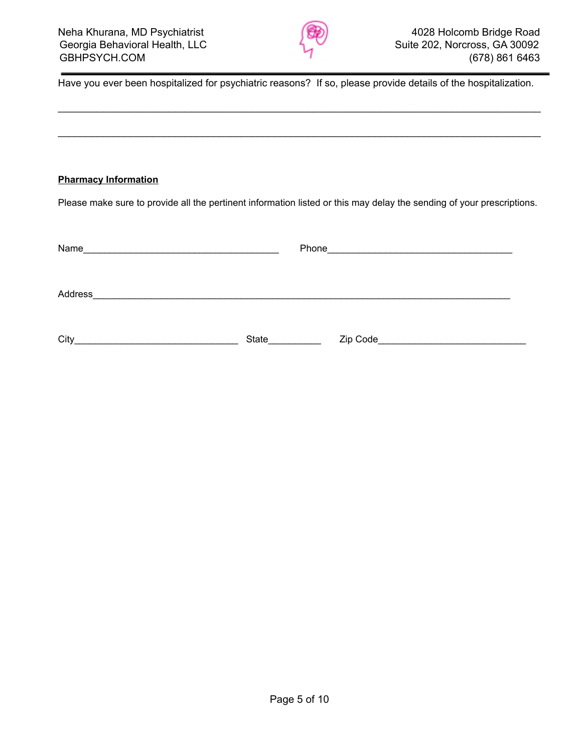

Have you ever been hospitalized for psychiatric reasons? If so, please provide details of the hospitalization.

\_\_\_\_\_\_\_\_\_\_\_\_\_\_\_\_\_\_\_\_\_\_\_\_\_\_\_\_\_\_\_\_\_\_\_\_\_\_\_\_\_\_\_\_\_\_\_\_\_\_\_\_\_\_\_\_\_\_\_\_\_\_\_\_\_\_\_\_\_\_\_\_\_\_\_\_\_\_\_\_\_\_\_\_\_\_\_

\_\_\_\_\_\_\_\_\_\_\_\_\_\_\_\_\_\_\_\_\_\_\_\_\_\_\_\_\_\_\_\_\_\_\_\_\_\_\_\_\_\_\_\_\_\_\_\_\_\_\_\_\_\_\_\_\_\_\_\_\_\_\_\_\_\_\_\_\_\_\_\_\_\_\_\_\_\_\_\_\_\_\_\_\_\_\_

#### **Pharmacy Information**

Please make sure to provide all the pertinent information listed or this may delay the sending of your prescriptions.

| Name    |       | Phone | <u> 1980 - Jan Samuel Barbara, margaret e populari e populari e populari e populari e populari e populari e popu</u> |
|---------|-------|-------|----------------------------------------------------------------------------------------------------------------------|
| Address |       |       |                                                                                                                      |
| City    | State |       | Zip Code                                                                                                             |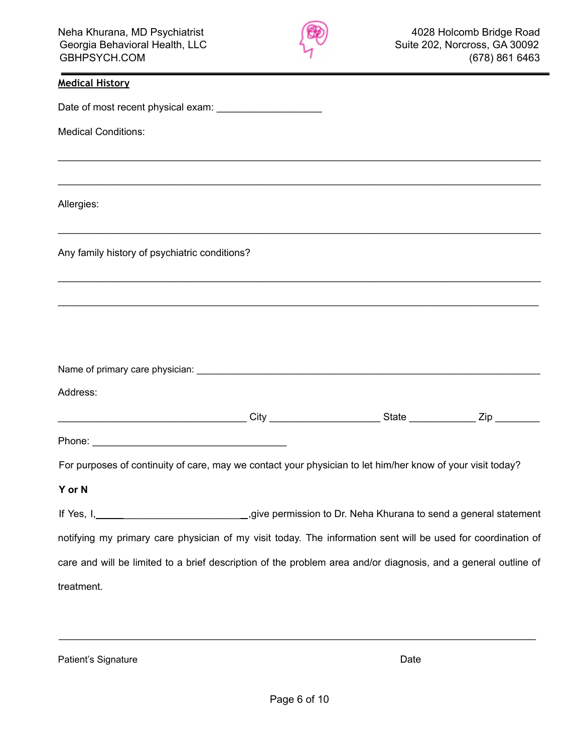

| <b>Medical History</b>                                                                                                                       |  |  |
|----------------------------------------------------------------------------------------------------------------------------------------------|--|--|
| Date of most recent physical exam: _______________________                                                                                   |  |  |
| <b>Medical Conditions:</b>                                                                                                                   |  |  |
|                                                                                                                                              |  |  |
| Allergies:                                                                                                                                   |  |  |
| Any family history of psychiatric conditions?                                                                                                |  |  |
|                                                                                                                                              |  |  |
|                                                                                                                                              |  |  |
|                                                                                                                                              |  |  |
| Address:                                                                                                                                     |  |  |
|                                                                                                                                              |  |  |
|                                                                                                                                              |  |  |
| For purposes of continuity of care, may we contact your physician to let him/her know of your visit today?                                   |  |  |
| Y or N                                                                                                                                       |  |  |
| If Yes, I, 1, 2008, 1, 2008, 1, 2008, 1, 2008, 1, 2008, 1, 2008, 2008, 2009, 2008 permission to Dr. Neha Khurana to send a general statement |  |  |
| notifying my primary care physician of my visit today. The information sent will be used for coordination of                                 |  |  |
| care and will be limited to a brief description of the problem area and/or diagnosis, and a general outline of                               |  |  |
| treatment.                                                                                                                                   |  |  |

Patient's Signature Date

\_\_\_\_\_\_\_\_\_\_\_\_\_\_\_\_\_\_\_\_\_\_\_\_\_\_\_\_\_\_\_\_\_\_\_\_\_\_\_\_\_\_\_\_\_\_\_\_\_\_\_\_\_\_\_\_\_\_\_\_\_\_\_\_\_\_\_\_\_\_\_\_\_\_\_\_\_\_\_\_\_\_\_\_\_\_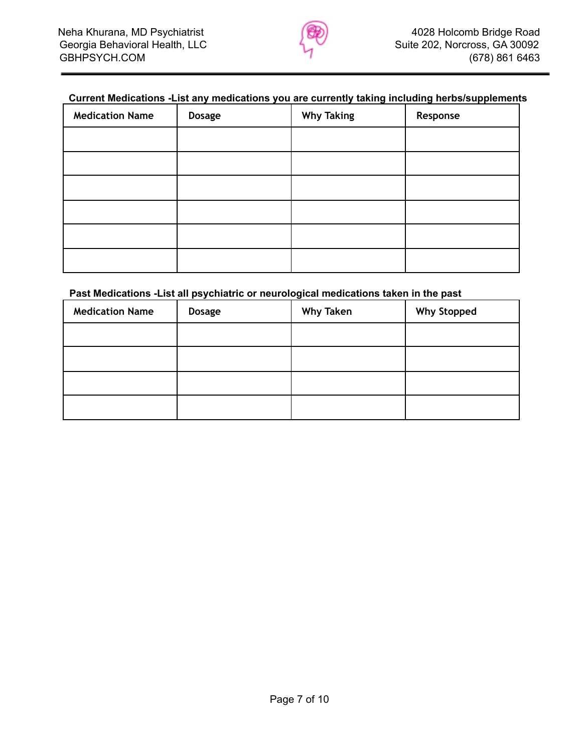

## **Current Medications -List any medications you are currently taking including herbs/supplements**

| <b>Medication Name</b> | <b>Dosage</b> | <b>Why Taking</b> | Response |
|------------------------|---------------|-------------------|----------|
|                        |               |                   |          |
|                        |               |                   |          |
|                        |               |                   |          |
|                        |               |                   |          |
|                        |               |                   |          |
|                        |               |                   |          |

#### **Past Medications -List all psychiatric or neurological medications taken in the past**

| <b>Medication Name</b> | <b>Dosage</b> | <b>Why Taken</b> | <b>Why Stopped</b> |
|------------------------|---------------|------------------|--------------------|
|                        |               |                  |                    |
|                        |               |                  |                    |
|                        |               |                  |                    |
|                        |               |                  |                    |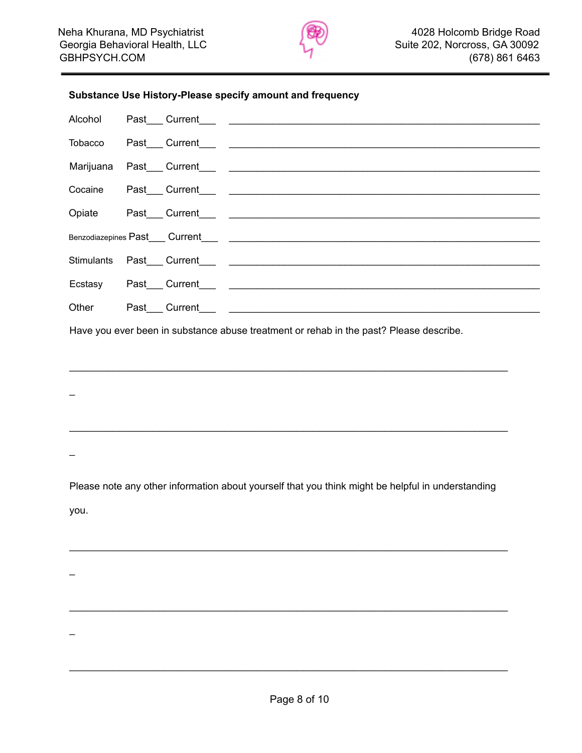

#### **Substance Use History-Please specify amount and frequency**

Have you ever been in substance abuse treatment or rehab in the past? Please describe.

 $\mathcal{L}_\mathcal{L}$  , and the contribution of the contribution of the contribution of the contribution of the contribution of the contribution of the contribution of the contribution of the contribution of the contribution of

 $\mathcal{L}_\mathcal{L}$  , and the contribution of the contribution of the contribution of the contribution of the contribution of the contribution of the contribution of the contribution of the contribution of the contribution of

 $\overline{a}$ 

 $\overline{a}$ 

 $\overline{a}$ 

 $\overline{a}$ 

Please note any other information about yourself that you think might be helpful in understanding you.

 $\mathcal{L}_\mathcal{L}$  , and the contribution of the contribution of the contribution of the contribution of the contribution of the contribution of the contribution of the contribution of the contribution of the contribution of

 $\mathcal{L}_\mathcal{L}$  , and the contribution of the contribution of the contribution of the contribution of the contribution of the contribution of the contribution of the contribution of the contribution of the contribution of

 $\mathcal{L}_\mathcal{L}$  , and the contribution of the contribution of the contribution of the contribution of the contribution of the contribution of the contribution of the contribution of the contribution of the contribution of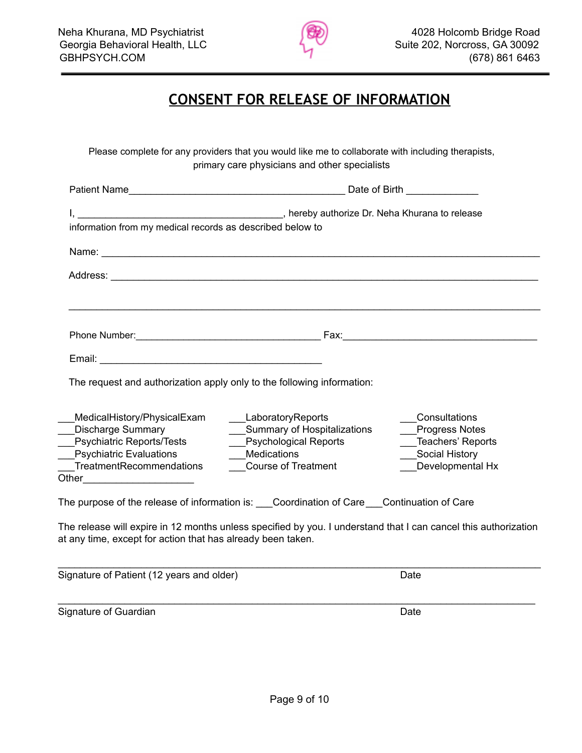

# **CONSENT FOR RELEASE OF INFORMATION**

Please complete for any providers that you would like me to collaborate with including therapists, primary care physicians and other specialists

| <b>Patient Name</b>                                                                                                                                |                                                                                                                             | Date of Birth <b>National Act of Birth</b>                                                        |  |  |
|----------------------------------------------------------------------------------------------------------------------------------------------------|-----------------------------------------------------------------------------------------------------------------------------|---------------------------------------------------------------------------------------------------|--|--|
|                                                                                                                                                    |                                                                                                                             |                                                                                                   |  |  |
| information from my medical records as described below to                                                                                          |                                                                                                                             |                                                                                                   |  |  |
|                                                                                                                                                    |                                                                                                                             |                                                                                                   |  |  |
|                                                                                                                                                    |                                                                                                                             |                                                                                                   |  |  |
|                                                                                                                                                    |                                                                                                                             |                                                                                                   |  |  |
|                                                                                                                                                    |                                                                                                                             |                                                                                                   |  |  |
|                                                                                                                                                    |                                                                                                                             |                                                                                                   |  |  |
|                                                                                                                                                    | The request and authorization apply only to the following information:                                                      |                                                                                                   |  |  |
| MedicalHistory/PhysicalExam<br><b>Discharge Summary</b><br>Psychiatric Reports/Tests<br><b>Psychiatric Evaluations</b><br>TreatmentRecommendations | LaboratoryReports<br>___Summary of Hospitalizations<br>__Psychological Reports<br>Medications<br><b>Course of Treatment</b> | Consultations<br>Progress Notes<br>Teachers' Reports<br><b>Social History</b><br>Developmental Hx |  |  |
|                                                                                                                                                    | The purpose of the release of information is: Coordination of Care Continuation of Care                                     |                                                                                                   |  |  |
| at any time, except for action that has already been taken.                                                                                        | The release will expire in 12 months unless specified by you. I understand that I can cancel this authorization             |                                                                                                   |  |  |
| Signature of Patient (12 years and older)                                                                                                          |                                                                                                                             | Date                                                                                              |  |  |

Signature of Guardian Date

\_\_\_\_\_\_\_\_\_\_\_\_\_\_\_\_\_\_\_\_\_\_\_\_\_\_\_\_\_\_\_\_\_\_\_\_\_\_\_\_\_\_\_\_\_\_\_\_\_\_\_\_\_\_\_\_\_\_\_\_\_\_\_\_\_\_\_\_\_\_\_\_\_\_\_\_\_\_\_\_\_\_\_\_\_\_